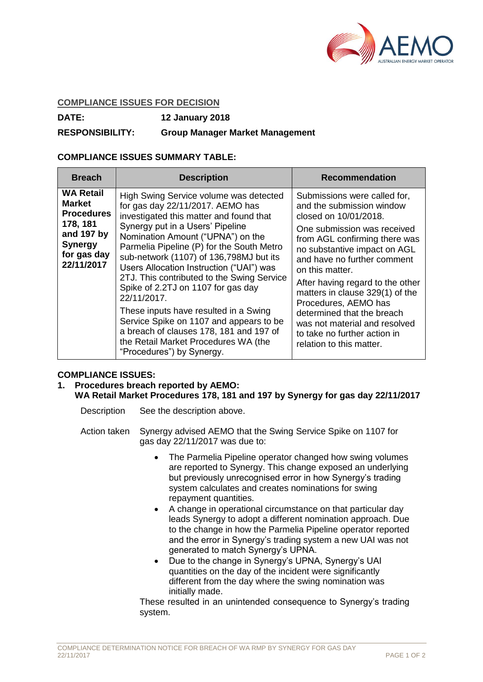

#### **COMPLIANCE ISSUES FOR DECISION**

**DATE: 12 January 2018**

# **RESPONSIBILITY: Group Manager Market Management**

### **COMPLIANCE ISSUES SUMMARY TABLE:**

| <b>Breach</b>                                                                                                                   | <b>Description</b>                                                                                                                                                                                                                                                                                                                                                                                                                                                                                                                                                                                                                        | <b>Recommendation</b>                                                                                                                                                                                                                                                                                                                                                                                                                                          |
|---------------------------------------------------------------------------------------------------------------------------------|-------------------------------------------------------------------------------------------------------------------------------------------------------------------------------------------------------------------------------------------------------------------------------------------------------------------------------------------------------------------------------------------------------------------------------------------------------------------------------------------------------------------------------------------------------------------------------------------------------------------------------------------|----------------------------------------------------------------------------------------------------------------------------------------------------------------------------------------------------------------------------------------------------------------------------------------------------------------------------------------------------------------------------------------------------------------------------------------------------------------|
| <b>WA Retail</b><br><b>Market</b><br><b>Procedures</b><br>178, 181<br>and 197 by<br><b>Synergy</b><br>for gas day<br>22/11/2017 | High Swing Service volume was detected<br>for gas day 22/11/2017. AEMO has<br>investigated this matter and found that<br>Synergy put in a Users' Pipeline<br>Nomination Amount ("UPNA") on the<br>Parmelia Pipeline (P) for the South Metro<br>sub-network (1107) of 136,798MJ but its<br>Users Allocation Instruction ("UAI") was<br>2TJ. This contributed to the Swing Service<br>Spike of 2.2TJ on 1107 for gas day<br>22/11/2017.<br>These inputs have resulted in a Swing<br>Service Spike on 1107 and appears to be<br>a breach of clauses 178, 181 and 197 of<br>the Retail Market Procedures WA (the<br>"Procedures") by Synergy. | Submissions were called for,<br>and the submission window<br>closed on 10/01/2018.<br>One submission was received<br>from AGL confirming there was<br>no substantive impact on AGL<br>and have no further comment<br>on this matter.<br>After having regard to the other<br>matters in clause 329(1) of the<br>Procedures, AEMO has<br>determined that the breach<br>was not material and resolved<br>to take no further action in<br>relation to this matter. |

## **COMPLIANCE ISSUES:**

## **1. Procedures breach reported by AEMO:**

### **WA Retail Market Procedures 178, 181 and 197 by Synergy for gas day 22/11/2017**

- Description See the description above.
- Action taken Synergy advised AEMO that the Swing Service Spike on 1107 for gas day 22/11/2017 was due to:
	- The Parmelia Pipeline operator changed how swing volumes are reported to Synergy. This change exposed an underlying but previously unrecognised error in how Synergy's trading system calculates and creates nominations for swing repayment quantities.
	- A change in operational circumstance on that particular day leads Synergy to adopt a different nomination approach. Due to the change in how the Parmelia Pipeline operator reported and the error in Synergy's trading system a new UAI was not generated to match Synergy's UPNA.
	- Due to the change in Synergy's UPNA, Synergy's UAI quantities on the day of the incident were significantly different from the day where the swing nomination was initially made.

These resulted in an unintended consequence to Synergy's trading system.